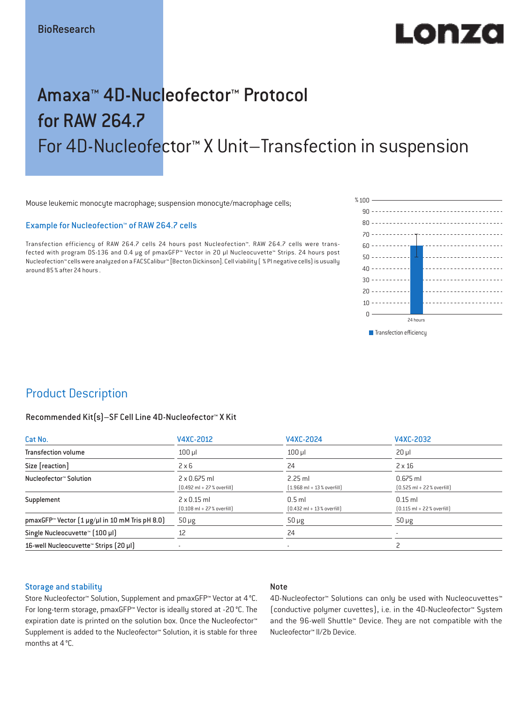# LONZ

## Amaxa™ 4D-Nucleofector™ Protocol for RAW 264.7 For 4D-Nucleofector™ X Unit–Transfection in suspension

Mouse leukemic monocyte macrophage; suspension monocyte/macrophage cells;

#### Example for Nucleofection™ of RAW 264.7 cells

Transfection efficiency of RAW 264.7 cells 24 hours post Nucleofection™. RAW 264.7 cells were transfected with program DS-136 and 0.4 μg of pmaxGFP™ Vector in 20 µl Nucleocuvette™ Strips. 24 hours post Nucleofection™ cells were analyzed on a FACSCalibur™ [Becton Dickinson]. Cell viability ( % PI negative cells) is usually around 85% after 24 hours .



### Product Description

#### Recommended Kit(s)–SF Cell Line 4D-Nucleofector™ X Kit

| Cat No.                                                    | V4XC-2012                                                           | V4XC-2024                                                | V4XC-2032                                                  |  |
|------------------------------------------------------------|---------------------------------------------------------------------|----------------------------------------------------------|------------------------------------------------------------|--|
| <b>Transfection volume</b>                                 | $100$ $\mu$                                                         | $100$ $\mu$                                              | $20 \mu$                                                   |  |
| Size [reaction]                                            | $2 \times 6$                                                        | 24                                                       | $2 \times 16$                                              |  |
| Nucleofector™ Solution                                     | $2 \times 0.675$ ml<br>$[0.492 \text{ ml} + 27 \text{ %} overfill]$ | $2.25$ ml<br>$(1.968 \text{ ml} + 13 % \text{overfill})$ | $0.675$ ml<br>$[0.525 \text{ ml} + 22 \text{ % overfill}]$ |  |
| Supplement                                                 | $2 \times 0.15$ ml<br>$[0.108 \text{ ml} + 27 \text{ %} overfill]$  | $0.5$ ml<br>$[0.432 \text{ ml} + 13 \text{ %} overfill]$ | $0.15$ ml<br>$[0.115 \text{ ml} + 22 \text{ % overfill}]$  |  |
| pmaxGFP <sup>™</sup> Vector (1 µg/µl in 10 mM Tris pH 8.0) | $50 \mu g$                                                          | $50 \mu g$                                               | $50 \mu g$                                                 |  |
| Single Nucleocuvette™ (100 µl)                             | 12                                                                  | 24                                                       |                                                            |  |
| 16-well Nucleocuvette <sup>™</sup> Strips [20 µl]          | $\overline{\phantom{a}}$                                            | $\sim$                                                   |                                                            |  |

#### Storage and stability

#### Note

Store Nucleofector™ Solution, Supplement and pmaxGFP™ Vector at 4°C. For long-term storage, pmaxGFP™ Vector is ideally stored at -20 °C. The expiration date is printed on the solution box. Once the Nucleofector™ Supplement is added to the Nucleofector™ Solution, it is stable for three months at 4°C.

4D-Nucleofector<sup>™</sup> Solutions can only be used with Nucleocuvettes™ (conductive polymer cuvettes), i.e. in the 4D-Nucleofector™ System and the 96-well Shuttle™ Device. They are not compatible with the Nucleofector™ II/2b Device.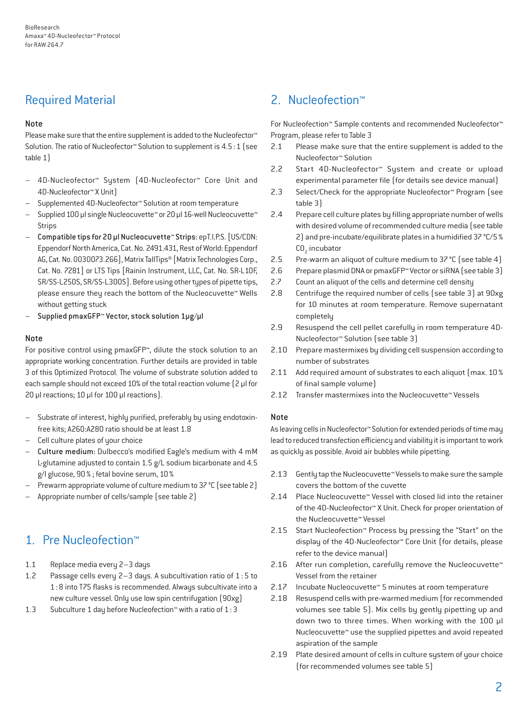## Required Material

#### Note

Please make sure that the entire supplement is added to the Nucleofector<sup>™</sup> Solution. The ratio of Nucleofector™ Solution to supplement is 4.5:1 (see table 1)

- 4D-Nucleofector™ System (4D-Nucleofector™ Core Unit and 4D-Nucleofector™ X Unit)
- Supplemented 4D-Nucleofector™ Solution at room temperature
- Supplied 100 µl single Nucleocuvette™ or 20 µl 16-well Nucleocuvette™ Strips
- Compatible tips for 20 µl Nucleocuvette™ Strips: epT.I.P.S. [US/CDN: Eppendorf North America, Cat. No. 2491.431, Rest of World: Eppendorf AG, Cat. No. 0030073.266], Matrix TallTips® [Matrix Technologies Corp., Cat. No. 7281] or LTS Tips [Rainin Instrument, LLC, Cat. No. SR-L10F, SR/SS-L250S, SR/SS-L300S]. Before using other types of pipette tips, please ensure they reach the bottom of the Nucleocuvette™ Wells without getting stuck
- Supplied pmaxGFP™ Vector, stock solution 1µg/µl

#### Note

For positive control using pmaxGFP™, dilute the stock solution to an appropriate working concentration. Further details are provided in table 3 of this Optimized Protocol. The volume of substrate solution added to each sample should not exceed 10% of the total reaction volume [2 µl for 20 µl reactions; 10 µl for 100 µl reactions).

- Substrate of interest, highly purified, preferably by using endotoxinfree kits; A260:A280 ratio should be at least 1.8
- Cell culture plates of your choice
- Culture medium: Dulbecco's modified Eagle's medium with 4 mM L-glutamine adjusted to contain 1.5 g/L sodium bicarbonate and 4.5 g/l glucose, 90% ; fetal bovine serum, 10%
- Prewarm appropriate volume of culture medium to 37 °C (see table 2)
- Appropriate number of cells/sample (see table 2)

## 1. Pre Nucleofection™

- 1.1 Replace media every 2–3 days
- 1.2 Passage cells every 2–3 days. A subcultivation ratio of 1 : 5 to 1:8 into T75 flasks is recommended. Always subcultivate into a new culture vessel. Only use low spin centrifugation (90xg)
- 1.3 Subculture 1 day before Nucleofection™ with a ratio of 1:3

## 2. Nucleofection™

For Nucleofection™ Sample contents and recommended Nucleofector™ Program, please refer to Table 3

- 2.1 Please make sure that the entire supplement is added to the Nucleofector™ Solution
- 2.2 Start 4D-Nucleofector™ System and create or upload experimental parameter file (for details see device manual)
- 2.3 Select/Check for the appropriate Nucleofector™ Program (see table 3)
- 2.4 Prepare cell culture plates by filling appropriate number of wells with desired volume of recommended culture media (see table 2) and pre-incubate/equilibrate plates in a humidified 37 °C/5%  $CO<sub>2</sub>$  incubator
- 2.5 Pre-warm an aliquot of culture medium to 37 °C (see table 4)
- 2.6 Prepare plasmid DNA or pmaxGFP™ Vector or siRNA (see table 3)
- 2.7 Count an aliquot of the cells and determine cell density
- 2.8 Centrifuge the required number of cells (see table 3) at 90xg for 10 minutes at room temperature. Remove supernatant completely
- 2.9 Resuspend the cell pellet carefully in room temperature 4D-Nucleofector™ Solution (see table 3)
- 2.10 Prepare mastermixes by dividing cell suspension according to number of substrates
- 2.11 Add required amount of substrates to each aliquot (max. 10% of final sample volume)
- 2.12 Transfer mastermixes into the Nucleocuvette™ Vessels

#### Note

As leaving cells in Nucleofector™ Solution for extended periods of time may lead to reduced transfection efficiency and viability it is important to work as quickly as possible. Avoid air bubbles while pipetting.

- 2.13 Gently tap the Nucleocuvette™ Vessels to make sure the sample covers the bottom of the cuvette
- 2.14 Place Nucleocuvette™ Vessel with closed lid into the retainer of the 4D-Nucleofector™ X Unit. Check for proper orientation of the Nucleocuvette™ Vessel
- 2.15 Start Nucleofection™ Process by pressing the "Start" on the display of the 4D-Nucleofector™ Core Unit (for details, please refer to the device manual)
- 2.16 After run completion, carefully remove the Nucleocuvette™ Vessel from the retainer
- 2.17 Incubate Nucleocuvette™ 5 minutes at room temperature
- 2.18 Resuspend cells with pre-warmed medium (for recommended volumes see table 5). Mix cells by gently pipetting up and down two to three times. When working with the 100 µl Nucleocuvette™ use the supplied pipettes and avoid repeated aspiration of the sample
- 2.19 Plate desired amount of cells in culture system of your choice (for recommended volumes see table 5)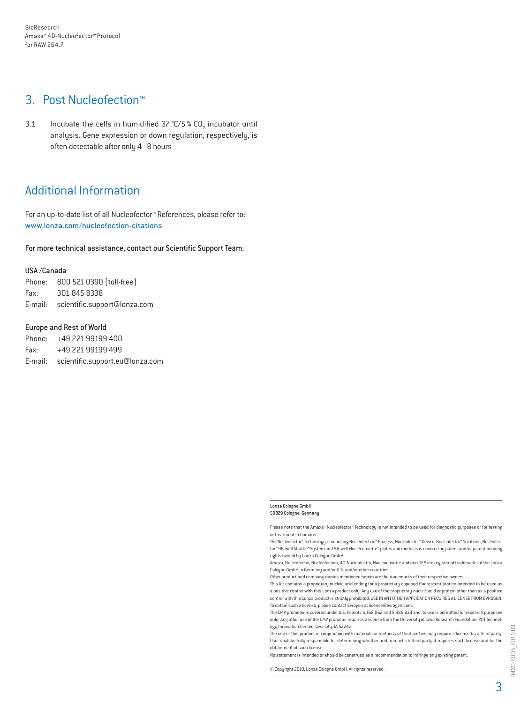## 3. Post Nucleofection™

3.1 Incubate the cells in humidified  $37^{\circ}$ C/5 % CO<sub>2</sub> incubator until analysis. Gene expression or down regulation, respectively, is often detectable after only 4–8 hours

## Additional Information

For an up-to-date list of all Nucleofector™ References, please refer to: www.lonza.com/nucleofection-citations

For more technical assistance, contact our Scientific Support Team:

#### USA /Canada

Phone: 800 521 0390 (toll-free) Fax: 301 845 8338 E-mail: scientific.support@lonza.com

#### Europe and Rest of World

Phone: +49 221 99199 400 Fax: +49 221 99199 499 E-mail: scientific.support.eu@lonza.com

#### Lonza Cologne GmbH 50829 Cologne, Germany

Please note that the Amaxa™ Nucleofector™ Technology is not intended to be used for diagnostic purposes or for testing or treatment in humans.

The Nucleofector™ Technology, comprising Nucleofection™ Process, Nucleofector™ Device, Nucleofector™ Solutions, Nucleofector™ 96-well Shuttle™System and 96-well Nucleocuvette™ plates and modules is covered by patent and/or patent-pending rights owned by Lonza Cologne GmbH.

Amaxa, Nucleofector, Nucleofection, 4D-Nucleofector, Nucleocuvette and maxGFP are registered trademarks of the Lonza Cologne GmbH in Germany and/or U.S. and/or other countries.

Other product and company names mentioned herein are the trademarks of their respective owners.

This kit contains a proprietary nucleic acid coding for a proprietary copepod fluorescent protein intended to be used as a positive control with this Lonza product only. Any use of the proprietary nucleic acid or protein other than as a positive control with this Lonza product is strictly prohibited. USE IN ANY OTHER APPLICATION REQUIRES A LICENSE FROM EVROGEN. To obtain such a license, please contact Evrogen at license@evrogen.com.

The CMV promoter is covered under U.S. Patents 5,168,062 and 5,385,839 and its use is permitted for research purposes only. Any other use of the CMV promoter requires a license from the University of Iowa Research Foundation, 214 Technology Innovation Center, Iowa City, IA 52242.

The use of this product in conjunction with materials or methods of third parties may require a license by a third party. User shall be fully responsible for determining whether and from which third party it requires such license and for the obtainment of such license.

No statement is intended or should be construed as a recommendation to infringe any existing patent.

© Copyright 2010, Lonza Cologne GmbH. All rights reserved.